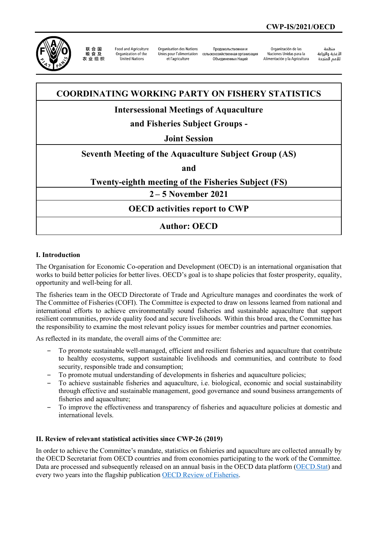

联合国 农业组织

**Ennd and Agriculture** Organization of the United Nations

Organisation des Nations Unies pour l'alimentation et l'agriculture

Проловольственная и сельскохозяйственная организация Объединенных Наций

Organización de las Naciones Unidas para la Alimentación y la Agricultura

änhin الأغذية والزراعة التعدية والزراعة<br>للأمم المتحدة

## **COORDINATING WORKING PARTY ON FISHERY STATISTICS**

## **Intersessional Meetings of Aquaculture**

# **and Fisheries Subject Groups -**

### **Joint Session**

## **Seventh Meeting of the Aquaculture Subject Group (AS)**

**and**

## **Twenty-eighth meeting of the Fisheries Subject (FS)**

**2 – 5 November 2021**

**OECD activities report to CWP**

## **Author: OECD**

#### **I. Introduction**

The Organisation for Economic Co-operation and Development (OECD) is an international organisation that works to build better policies for better lives. OECD's goal is to shape policies that foster prosperity, equality, opportunity and well-being for all.

The fisheries team in the OECD Directorate of Trade and Agriculture manages and coordinates the work of The Committee of Fisheries (COFI). The Committee is expected to draw on lessons learned from national and international efforts to achieve environmentally sound fisheries and sustainable aquaculture that support resilient communities, provide quality food and secure livelihoods. Within this broad area, the Committee has the responsibility to examine the most relevant policy issues for member countries and partner economies.

As reflected in its mandate, the overall aims of the Committee are:

- ‒ To promote sustainable well-managed, efficient and resilient fisheries and aquaculture that contribute to healthy ecosystems, support sustainable livelihoods and communities, and contribute to food security, responsible trade and consumption;
- ‒ To promote mutual understanding of developments in fisheries and aquaculture policies;
- ‒ To achieve sustainable fisheries and aquaculture, i.e. biological, economic and social sustainability through effective and sustainable management, good governance and sound business arrangements of fisheries and aquaculture;
- ‒ To improve the effectiveness and transparency of fisheries and aquaculture policies at domestic and international levels.

#### **II. Review of relevant statistical activities since CWP-26 (2019)**

In order to achieve the Committee's mandate, statistics on fishieries and aquaculture are collected annually by the OECD Secretariat from OECD countries and from economies participating to the work of the Committee. Data are processed and subsequently released on an annual basis in the OECD data platform [\(OECD.Stat\)](https://stats.oecd.org/) and every two years into the flagship publication OECD [Review of Fisheries.](https://www.oecd-ilibrary.org/agriculture-and-food/oecd-review-of-fisheries-2020_7946bc8a-en#:%7E:text=The%20OECD%20Review%20of%20Fisheries,and%20livelihoods%20for%20future%20generations.)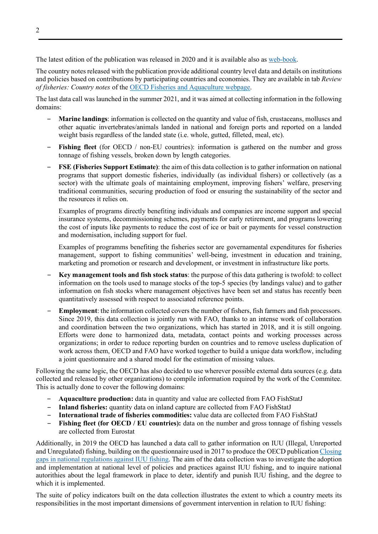The latest edition of the publication was released in 2020 and it is available also as [web-book.](https://www.oecd-ilibrary.org/sites/7946bc8a-en/index.html?itemId=/content/publication/7946bc8a-en)

The country notes released with the publication provide additional country level data and details on institutions and policies based on contributions by participating countries and economies. They are available in tab *Review of fisheries: Country notes* of the [OECD Fisheries and Aquaculture webpage.](https://www.oecd.org/agriculture/topics/fisheries-and-aquaculture/)

The last data call was launched in the summer 2021, and it was aimed at collecting information in the following domains:

- ‒ **Marine landings**: information is collected on the quantity and value of fish, crustaceans, molluscs and other aquatic invertebrates/animals landed in national and foreign ports and reported on a landed weight basis regardless of the landed state (i.e. whole, gutted, filleted, meal, etc).
- **Fishing fleet** (for OECD / non-EU countries): information is gathered on the number and gross tonnage of fishing vessels, broken down by length categories.
- ‒ **FSE (Fisheries Support Estimate)**: the aim of this data collection is to gather information on national programs that support domestic fisheries, individually (as individual fishers) or collectively (as a sector) with the ultimate goals of maintaining employment, improving fishers' welfare, preserving traditional communities, securing production of food or ensuring the sustainability of the sector and the resources it relies on.

Examples of programs directly benefiting individuals and companies are income support and special insurance systems, decommissioning schemes, payments for early retirement, and programs lowering the cost of inputs like payments to reduce the cost of ice or bait or payments for vessel construction and modernisation, including support for fuel.

Examples of programms benefiting the fisheries sector are governamental expenditures for fisheries management, support to fishing communities' well-being, investment in education and training, marketing and promotion or research and development, or investment in infrastructure like ports.

- ‒ **Key management tools and fish stock status**: the purpose of this data gathering is twofold: to collect information on the tools used to manage stocks of the top-5 species (by landings value) and to gather information on fish stocks where management objectives have been set and status has recently been quantitatively assessed with respect to associated reference points.
- ‒ **Employment**: the information collected covers the number of fishers, fish farmers and fish processors. Since 2019, this data collection is jointly run with FAO, thanks to an intense work of collaboration and coordination between the two organizations, which has started in 2018, and it is still ongoing. Efforts were done to harmonized data, metadata, contact points and working processes across organizations; in order to reduce reporting burden on countries and to remove useless duplication of work across them, OECD and FAO have worked together to build a unique data workflow, including a joint questionnaire and a shared model for the estimation of missing values.

Following the same logic, the OECD has also decided to use wherever possible external data sources (e.g. data collected and released by other organizations) to compile information required by the work of the Commitee. This is actually done to cover the following domains:

- ‒ **Aquaculture production:** data in quantity and value are collected from FAO FishStatJ
- ‒ **Inland fisheries:** quantity data on inland capture are collected from FAO FishStatJ
- ‒ **International trade of fisheries commodities:** value data are collected from FAO FishStatJ
- ‒ **Fishing fleet (for OECD / EU countries):** data on the number and gross tonnage of fishing vessels are collected from Eurostat

Additionally, in 2019 the OECD has launched a data call to gather information on IUU (Illegal, Unreported and Unregulated) fishing, building on the questionnaire used in 2017 to produce the OECD publicatio[n Closing](https://www.oecd-ilibrary.org/agriculture-and-food/closing-gaps-in-national-regulations-against-iuu-fishing_9b86ba08-en)  [gaps in national regulations against IUU fishing.](https://www.oecd-ilibrary.org/agriculture-and-food/closing-gaps-in-national-regulations-against-iuu-fishing_9b86ba08-en) The aim of the data collection was to investigate the adoption and implementation at national level of policies and practices against IUU fishing, and to inquire national autorithies about the legal framework in place to deter, identify and punish IUU fishing, and the degree to which it is implemented.

The suite of policy indicators built on the data collection illustrates the extent to which a country meets its responsibilities in the most important dimensions of government intervention in relation to IUU fishing: